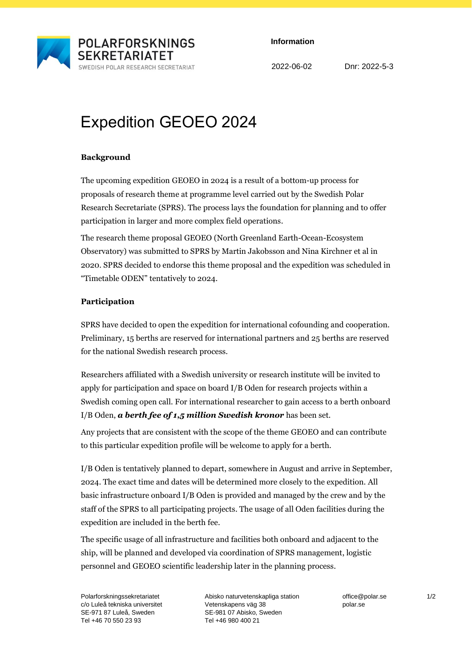

**Information**

2022-06-02 Dnr: 2022-5-3

# Expedition GEOEO 2024

### **Background**

The upcoming expedition GEOEO in 2024 is a result of a bottom-up process for proposals of research theme at programme level carried out by the Swedish Polar Research Secretariate (SPRS). The process lays the foundation for planning and to offer participation in larger and more complex field operations.

The research theme proposal GEOEO (North Greenland Earth-Ocean-Ecosystem Observatory) was submitted to SPRS by Martin Jakobsson and Nina Kirchner et al in 2020. SPRS decided to endorse this theme proposal and the expedition was scheduled in "Timetable ODEN" tentatively to 2024.

## **Participation**

SPRS have decided to open the expedition for international cofounding and cooperation. Preliminary, 15 berths are reserved for international partners and 25 berths are reserved for the national Swedish research process.

Researchers affiliated with a Swedish university or research institute will be invited to apply for participation and space on board I/B Oden for research projects within a Swedish coming open call. For international researcher to gain access to a berth onboard I/B Oden, *a berth fee of 1,5 million Swedish kronor* has been set.

Any projects that are consistent with the scope of the theme GEOEO and can contribute to this particular expedition profile will be welcome to apply for a berth.

I/B Oden is tentatively planned to depart, somewhere in August and arrive in September, 2024. The exact time and dates will be determined more closely to the expedition. All basic infrastructure onboard I/B Oden is provided and managed by the crew and by the staff of the SPRS to all participating projects. The usage of all Oden facilities during the expedition are included in the berth fee.

The specific usage of all infrastructure and facilities both onboard and adjacent to the ship, will be planned and developed via coordination of SPRS management, logistic personnel and GEOEO scientific leadership later in the planning process.

Polarforskningssekretariatet c/o Luleå tekniska universitet SE-971 87 Luleå, Sweden Tel +46 70 550 23 93

Abisko naturvetenskapliga station Vetenskapens väg 38 SE-981 07 Abisko, Sweden Tel +46 980 400 21

office@polar.se polar.se

1/2